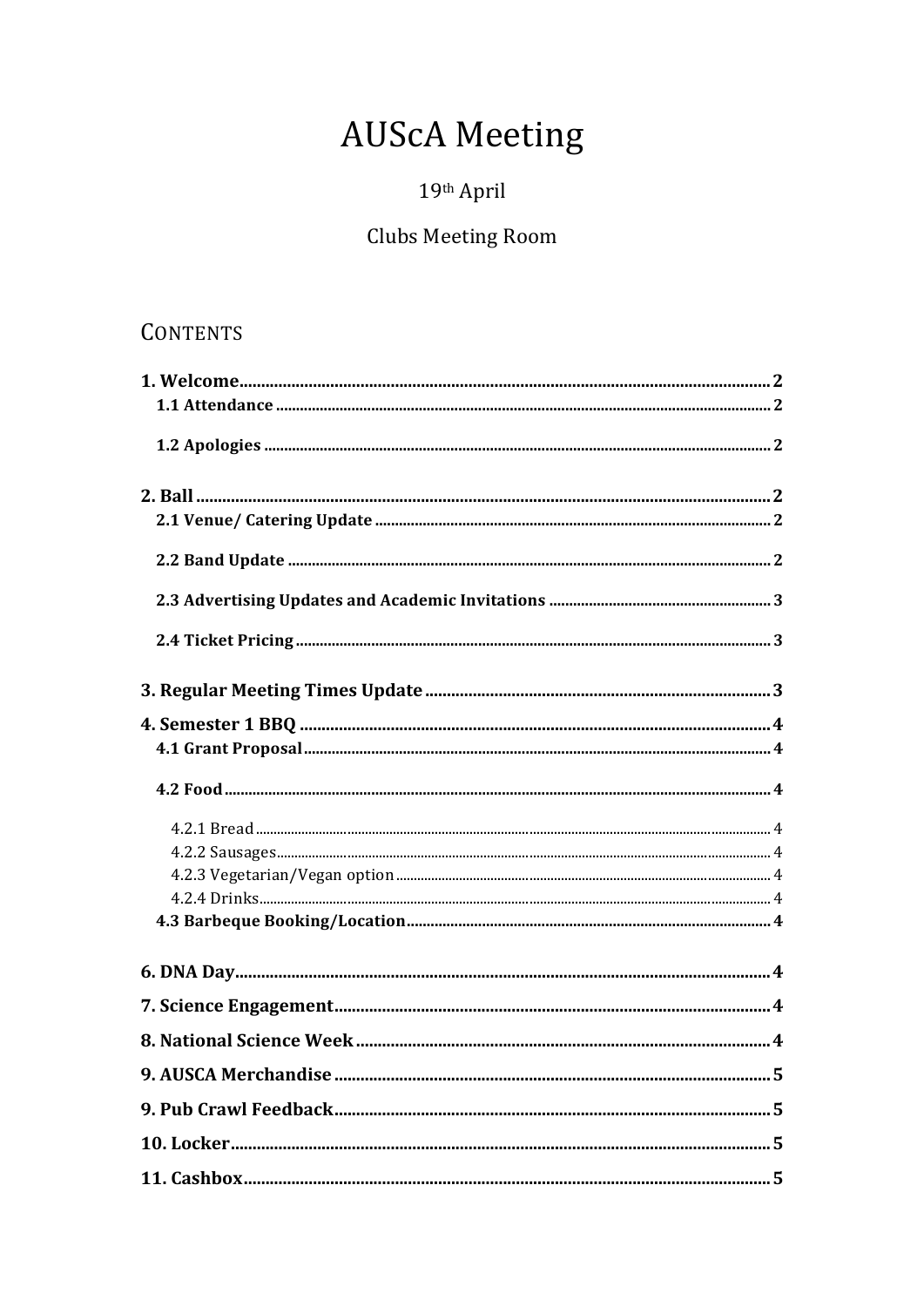# **AUScA Meeting**

## 19th April

## **Clubs Meeting Room**

## **CONTENTS**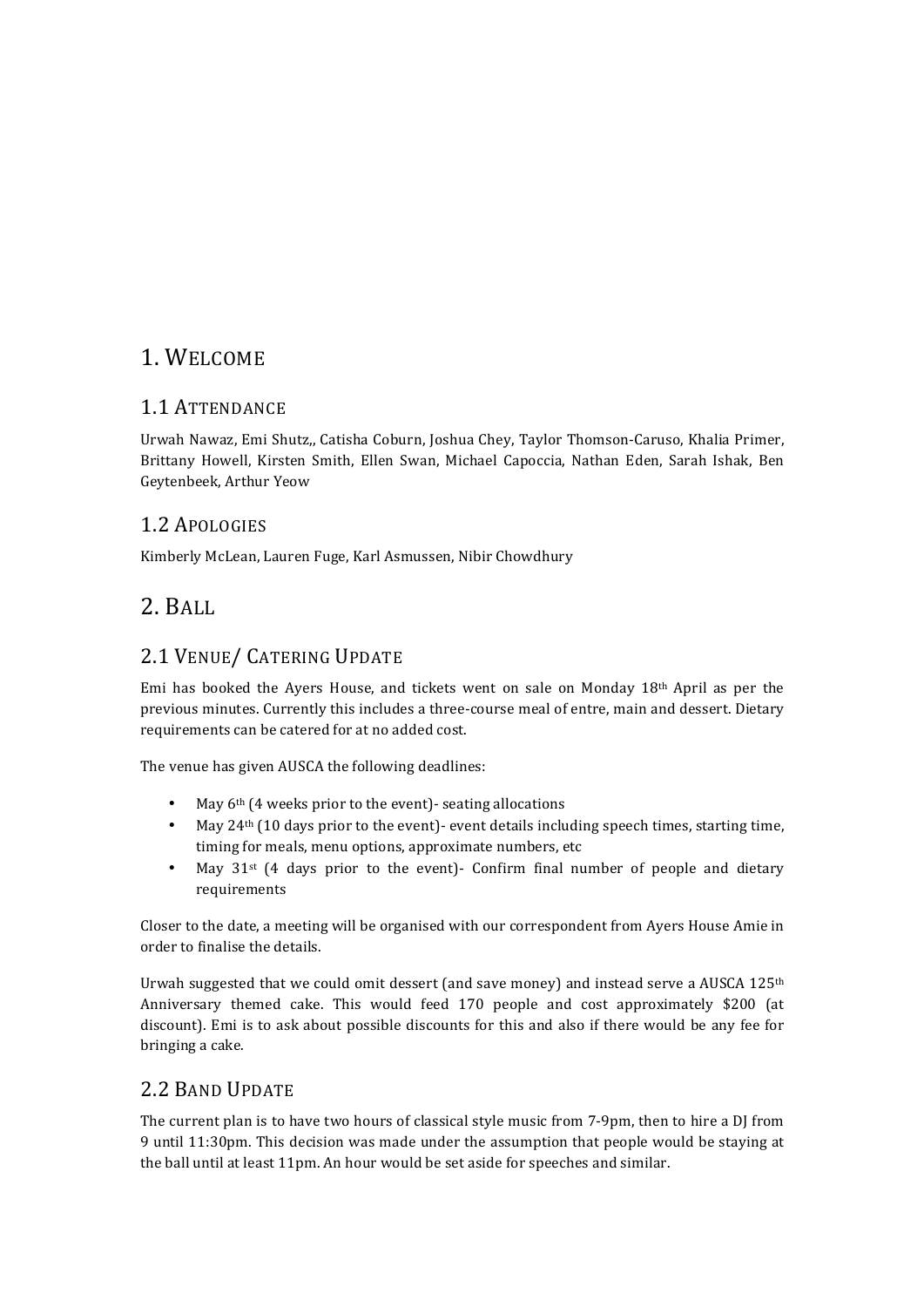## 1. WELCOME

#### 1.1 ATTENDANCE

Urwah Nawaz, Emi Shutz., Catisha Coburn, Joshua Chey, Taylor Thomson-Caruso, Khalia Primer, Brittany Howell, Kirsten Smith, Ellen Swan, Michael Capoccia, Nathan Eden, Sarah Ishak, Ben Geytenbeek, Arthur Yeow

#### 1.2 APOLOGIES

Kimberly McLean, Lauren Fuge, Karl Asmussen, Nibir Chowdhury

## 2. BALL

### 2.1 VENUE/ CATERING UPDATE

Emi has booked the Ayers House, and tickets went on sale on Monday  $18<sup>th</sup>$  April as per the previous minutes. Currently this includes a three-course meal of entre, main and dessert. Dietary requirements can be catered for at no added cost.

The venue has given AUSCA the following deadlines:

- May  $6<sup>th</sup>$  (4 weeks prior to the event)- seating allocations
- May  $24<sup>th</sup>$  (10 days prior to the event)- event details including speech times, starting time, timing for meals, menu options, approximate numbers, etc
- May  $31^{st}$  (4 days prior to the event)- Confirm final number of people and dietary requirements

Closer to the date, a meeting will be organised with our correspondent from Ayers House Amie in order to finalise the details.

Urwah suggested that we could omit dessert (and save money) and instead serve a AUSCA 125<sup>th</sup> Anniversary themed cake. This would feed 170 people and cost approximately \$200 (at discount). Emi is to ask about possible discounts for this and also if there would be any fee for bringing a cake.

#### 2.2 BAND UPDATE

The current plan is to have two hours of classical style music from 7-9pm, then to hire a DJ from 9 until 11:30pm. This decision was made under the assumption that people would be staying at the ball until at least 11pm. An hour would be set aside for speeches and similar.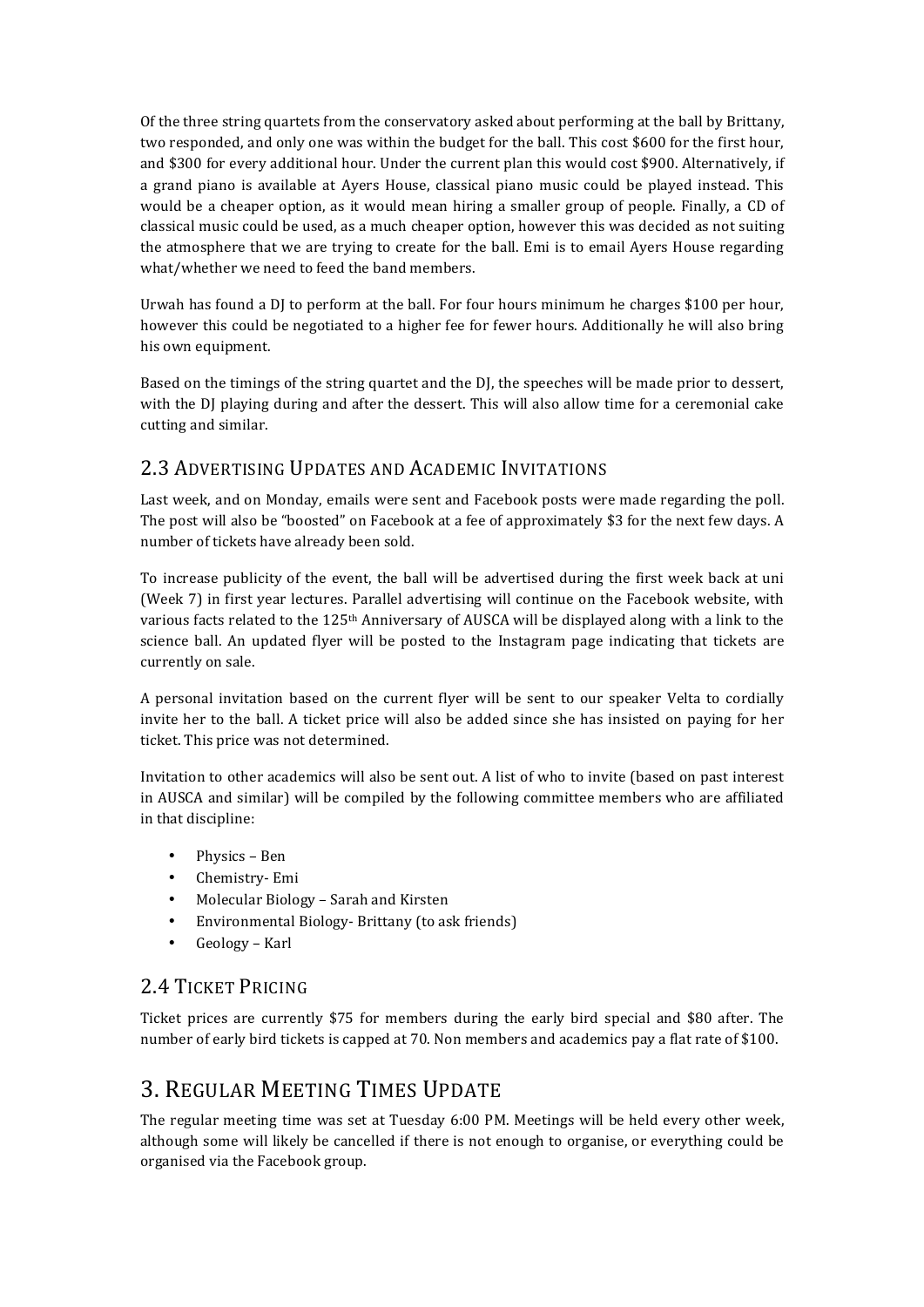Of the three string quartets from the conservatory asked about performing at the ball by Brittany, two responded, and only one was within the budget for the ball. This cost \$600 for the first hour, and \$300 for every additional hour. Under the current plan this would cost \$900. Alternatively, if a grand piano is available at Ayers House, classical piano music could be played instead. This would be a cheaper option, as it would mean hiring a smaller group of people. Finally, a CD of classical music could be used, as a much cheaper option, however this was decided as not suiting the atmosphere that we are trying to create for the ball. Emi is to email Ayers House regarding what/whether we need to feed the band members.

Urwah has found a DJ to perform at the ball. For four hours minimum he charges  $$100$  per hour, however this could be negotiated to a higher fee for fewer hours. Additionally he will also bring his own equipment.

Based on the timings of the string quartet and the DJ, the speeches will be made prior to dessert, with the DJ playing during and after the dessert. This will also allow time for a ceremonial cake cutting and similar.

#### 2.3 ADVERTISING UPDATES AND ACADEMIC INVITATIONS

Last week, and on Monday, emails were sent and Facebook posts were made regarding the poll. The post will also be "boosted" on Facebook at a fee of approximately \$3 for the next few days. A number of tickets have already been sold.

To increase publicity of the event, the ball will be advertised during the first week back at uni (Week 7) in first year lectures. Parallel advertising will continue on the Facebook website, with various facts related to the 125<sup>th</sup> Anniversary of AUSCA will be displayed along with a link to the science ball. An updated flyer will be posted to the Instagram page indicating that tickets are currently on sale.

A personal invitation based on the current flyer will be sent to our speaker Velta to cordially invite her to the ball. A ticket price will also be added since she has insisted on paying for her ticket. This price was not determined.

Invitation to other academics will also be sent out. A list of who to invite (based on past interest in AUSCA and similar) will be compiled by the following committee members who are affiliated in that discipline:

- Physics Ben
- Chemistry- Emi
- Molecular Biology Sarah and Kirsten
- Environmental Biology- Brittany (to ask friends)
- Geology Karl

#### 2.4 TICKET PRICING

Ticket prices are currently \$75 for members during the early bird special and \$80 after. The number of early bird tickets is capped at 70. Non members and academics pay a flat rate of \$100.

## 3. REGULAR MEETING TIMES UPDATE

The regular meeting time was set at Tuesday 6:00 PM. Meetings will be held every other week, although some will likely be cancelled if there is not enough to organise, or everything could be organised via the Facebook group.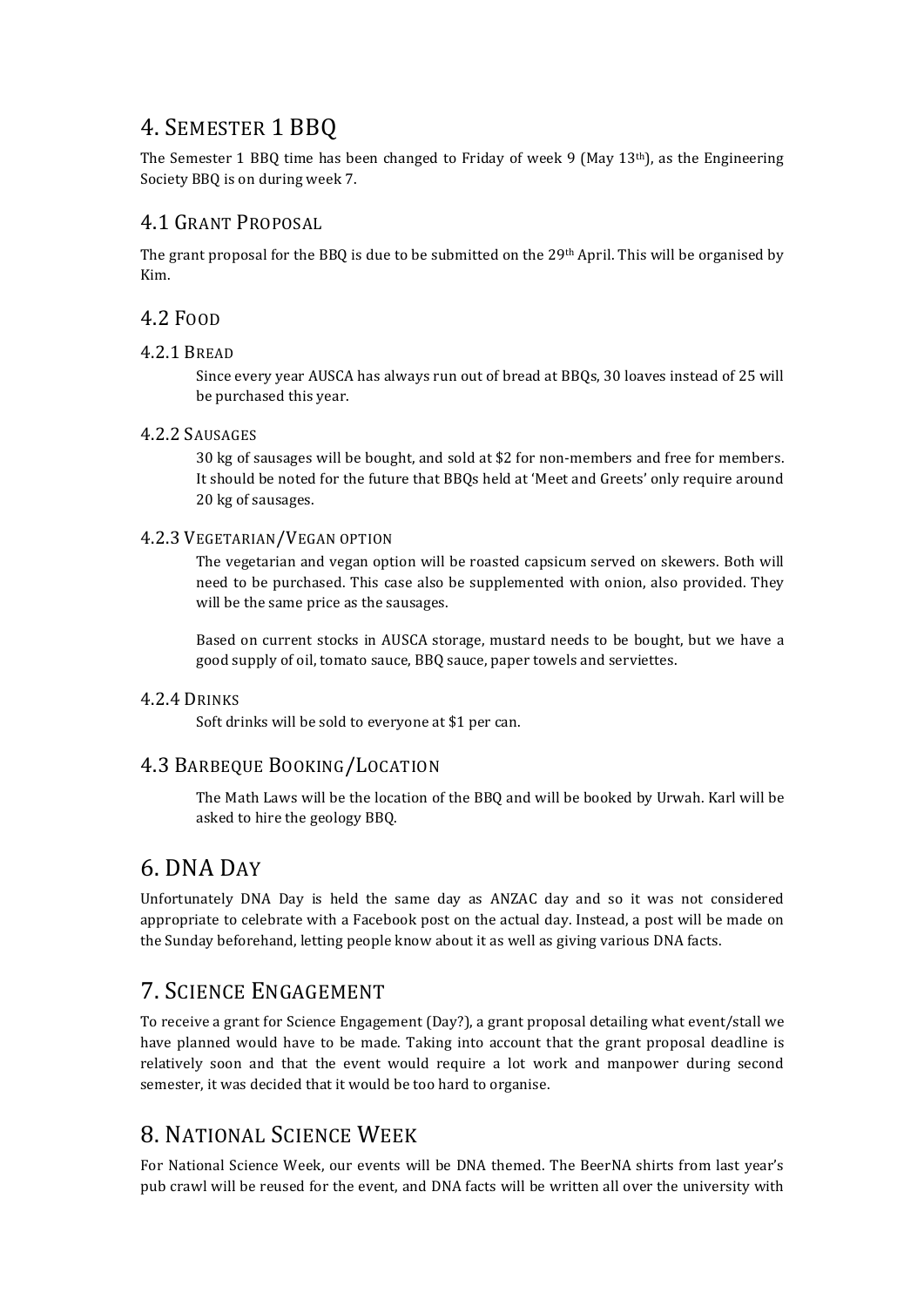## 4. SEMESTER 1 BBQ

The Semester 1 BBQ time has been changed to Friday of week 9 (May 13<sup>th</sup>), as the Engineering Society BBQ is on during week 7.

#### 4.1 GRANT PROPOSAL

The grant proposal for the BBQ is due to be submitted on the  $29<sup>th</sup>$  April. This will be organised by Kim.

#### 4.2 FOOD

#### 4.2.1 BREAD

Since every year AUSCA has always run out of bread at BBOs, 30 loaves instead of 25 will be purchased this year.

#### 4.2.2 SAUSAGES

30 kg of sausages will be bought, and sold at \$2 for non-members and free for members. It should be noted for the future that BBQs held at 'Meet and Greets' only require around 20 kg of sausages.

#### 4.2.3 VEGETARIAN/VEGAN OPTION

The vegetarian and vegan option will be roasted capsicum served on skewers. Both will need to be purchased. This case also be supplemented with onion, also provided. They will be the same price as the sausages.

Based on current stocks in AUSCA storage, mustard needs to be bought, but we have a good supply of oil, tomato sauce, BBQ sauce, paper towels and serviettes.

#### 4.2.4 DRINKS

Soft drinks will be sold to everyone at \$1 per can.

#### 4.3 BARBEQUE BOOKING/LOCATION

The Math Laws will be the location of the BBQ and will be booked by Urwah. Karl will be asked to hire the geology BBQ.

### 6. DNA DAY

Unfortunately DNA Day is held the same day as ANZAC day and so it was not considered appropriate to celebrate with a Facebook post on the actual day. Instead, a post will be made on the Sunday beforehand, letting people know about it as well as giving various DNA facts.

### **7. SCIENCE ENGAGEMENT**

To receive a grant for Science Engagement (Day?), a grant proposal detailing what event/stall we have planned would have to be made. Taking into account that the grant proposal deadline is relatively soon and that the event would require a lot work and manpower during second semester, it was decided that it would be too hard to organise.

## 8. NATIONAL SCIENCE WEEK

For National Science Week, our events will be DNA themed. The BeerNA shirts from last year's pub crawl will be reused for the event, and DNA facts will be written all over the university with